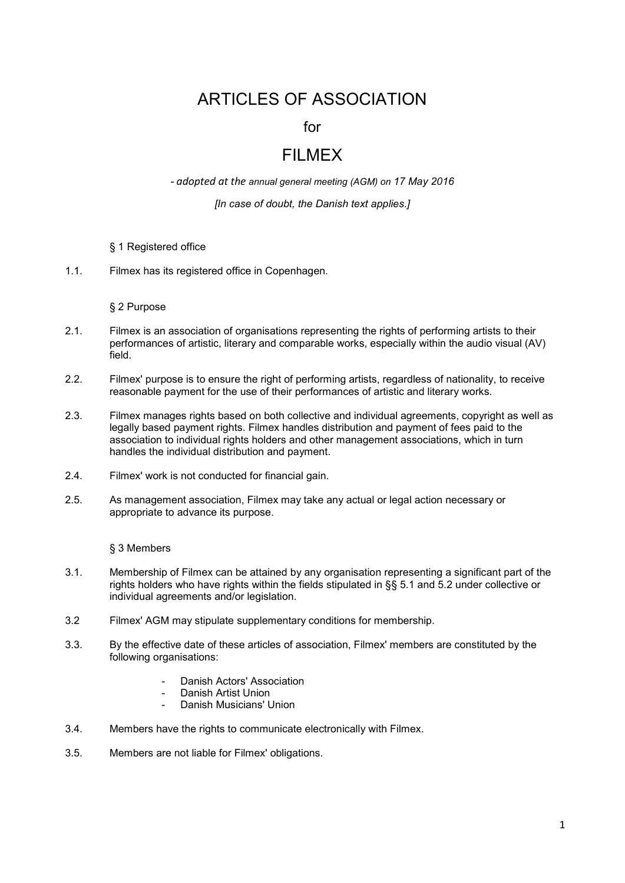# ARTICLES OF ASSOCIATION

for

## FILMEX

*- adopted at the annual general meeting (AGM) on 17 May 2016*

*[In case of doubt, the Danish text applies.]*

- § 1 Registered office
- 1.1. Filmex has its registered office in Copenhagen.

#### § 2 Purpose

- 2.1. Filmex is an association of organisations representing the rights of performing artists to their performances of artistic, literary and comparable works, especially within the audio visual (AV) field.
- 2.2. Filmex' purpose is to ensure the right of performing artists, regardless of nationality, to receive reasonable payment for the use of their performances of artistic and literary works.
- 2.3. Filmex manages rights based on both collective and individual agreements, copyright as well as legally based payment rights. Filmex handles distribution and payment of fees paid to the association to individual rights holders and other management associations, which in turn handles the individual distribution and payment.
- 2.4. Filmex' work is not conducted for financial gain.
- 2.5. As management association, Filmex may take any actual or legal action necessary or appropriate to advance its purpose.

#### § 3 Members

- 3.1. Membership of Filmex can be attained by any organisation representing a significant part of the rights holders who have rights within the fields stipulated in §§ 5.1 and 5.2 under collective or individual agreements and/or legislation.
- 3.2 Filmex' AGM may stipulate supplementary conditions for membership.
- 3.3. By the effective date of these articles of association, Filmex' members are constituted by the following organisations:
	- Danish Actors' Association
	- Danish Artist Union
	- Danish Musicians' Union
- 3.4. Members have the rights to communicate electronically with Filmex.
- 3.5. Members are not liable for Filmex' obligations.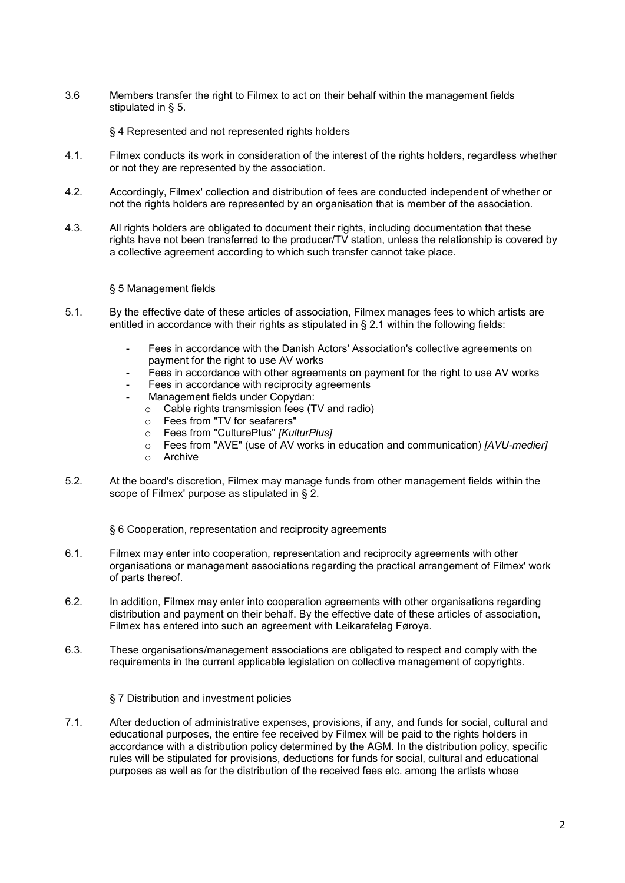3.6 Members transfer the right to Filmex to act on their behalf within the management fields stipulated in § 5.

§ 4 Represented and not represented rights holders

- 4.1. Filmex conducts its work in consideration of the interest of the rights holders, regardless whether or not they are represented by the association.
- 4.2. Accordingly, Filmex' collection and distribution of fees are conducted independent of whether or not the rights holders are represented by an organisation that is member of the association.
- 4.3. All rights holders are obligated to document their rights, including documentation that these rights have not been transferred to the producer/TV station, unless the relationship is covered by a collective agreement according to which such transfer cannot take place.

### § 5 Management fields

- 5.1. By the effective date of these articles of association, Filmex manages fees to which artists are entitled in accordance with their rights as stipulated in  $\S 2.1$  within the following fields:
	- Fees in accordance with the Danish Actors' Association's collective agreements on payment for the right to use AV works
	- Fees in accordance with other agreements on payment for the right to use AV works
	- Fees in accordance with reciprocity agreements
	- Management fields under Copydan:
		- $\circ$  Cable rights transmission fees (TV and radio)<br>  $\circ$  Fees from "TV for seafarers"
		- Fees from "TV for seafarers"
		- o Fees from "CulturePlus" *[KulturPlus]*
		- o Fees from "AVE" (use of AV works in education and communication) *[AVU-medier]*
		- Archive
- 5.2. At the board's discretion, Filmex may manage funds from other management fields within the scope of Filmex' purpose as stipulated in § 2.
	- § 6 Cooperation, representation and reciprocity agreements
- 6.1. Filmex may enter into cooperation, representation and reciprocity agreements with other organisations or management associations regarding the practical arrangement of Filmex' work of parts thereof.
- 6.2. In addition, Filmex may enter into cooperation agreements with other organisations regarding distribution and payment on their behalf. By the effective date of these articles of association, Filmex has entered into such an agreement with Leikarafelag Føroya.
- 6.3. These organisations/management associations are obligated to respect and comply with the requirements in the current applicable legislation on collective management of copyrights.

§ 7 Distribution and investment policies

7.1. After deduction of administrative expenses, provisions, if any, and funds for social, cultural and educational purposes, the entire fee received by Filmex will be paid to the rights holders in accordance with a distribution policy determined by the AGM. In the distribution policy, specific rules will be stipulated for provisions, deductions for funds for social, cultural and educational purposes as well as for the distribution of the received fees etc. among the artists whose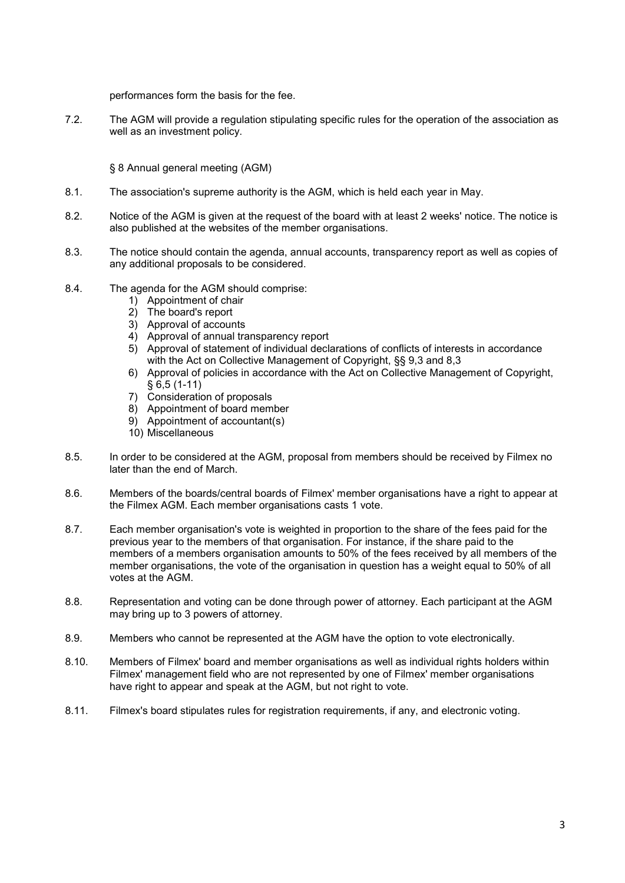performances form the basis for the fee.

7.2. The AGM will provide a regulation stipulating specific rules for the operation of the association as well as an investment policy.

§ 8 Annual general meeting (AGM)

- 8.1. The association's supreme authority is the AGM, which is held each year in May.
- 8.2. Notice of the AGM is given at the request of the board with at least 2 weeks' notice. The notice is also published at the websites of the member organisations.
- 8.3. The notice should contain the agenda, annual accounts, transparency report as well as copies of any additional proposals to be considered.
- 8.4. The agenda for the AGM should comprise:
	- 1) Appointment of chair
	- 2) The board's report
	- 3) Approval of accounts
	- 4) Approval of annual transparency report
	- 5) Approval of statement of individual declarations of conflicts of interests in accordance with the Act on Collective Management of Copyright, §§ 9,3 and 8,3
	- 6) Approval of policies in accordance with the Act on Collective Management of Copyright, § 6,5 (1-11)
	- 7) Consideration of proposals
	- 8) Appointment of board member
	- 9) Appointment of accountant(s)
	- 10) Miscellaneous
- 8.5. In order to be considered at the AGM, proposal from members should be received by Filmex no later than the end of March.
- 8.6. Members of the boards/central boards of Filmex' member organisations have a right to appear at the Filmex AGM. Each member organisations casts 1 vote.
- 8.7. Each member organisation's vote is weighted in proportion to the share of the fees paid for the previous year to the members of that organisation. For instance, if the share paid to the members of a members organisation amounts to 50% of the fees received by all members of the member organisations, the vote of the organisation in question has a weight equal to 50% of all votes at the AGM.
- 8.8. Representation and voting can be done through power of attorney. Each participant at the AGM may bring up to 3 powers of attorney.
- 8.9. Members who cannot be represented at the AGM have the option to vote electronically.
- 8.10. Members of Filmex' board and member organisations as well as individual rights holders within Filmex' management field who are not represented by one of Filmex' member organisations have right to appear and speak at the AGM, but not right to vote.
- 8.11. Filmex's board stipulates rules for registration requirements, if any, and electronic voting.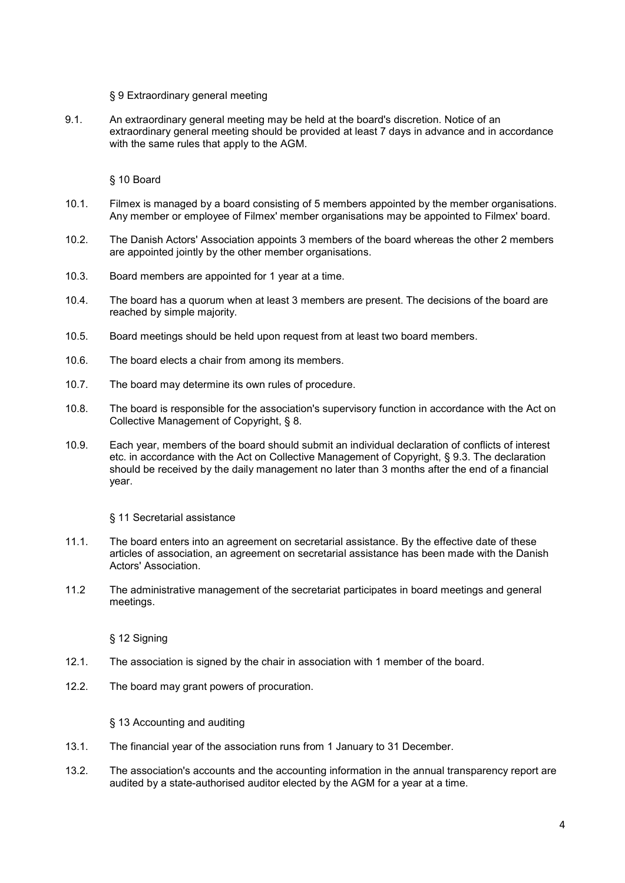#### § 9 Extraordinary general meeting

9.1. An extraordinary general meeting may be held at the board's discretion. Notice of an extraordinary general meeting should be provided at least 7 days in advance and in accordance with the same rules that apply to the AGM.

§ 10 Board

- 10.1. Filmex is managed by a board consisting of 5 members appointed by the member organisations. Any member or employee of Filmex' member organisations may be appointed to Filmex' board.
- 10.2. The Danish Actors' Association appoints 3 members of the board whereas the other 2 members are appointed jointly by the other member organisations.
- 10.3. Board members are appointed for 1 year at a time.
- 10.4. The board has a quorum when at least 3 members are present. The decisions of the board are reached by simple majority.
- 10.5. Board meetings should be held upon request from at least two board members.
- 10.6. The board elects a chair from among its members.
- 10.7. The board may determine its own rules of procedure.
- 10.8. The board is responsible for the association's supervisory function in accordance with the Act on Collective Management of Copyright, § 8.
- 10.9. Each year, members of the board should submit an individual declaration of conflicts of interest etc. in accordance with the Act on Collective Management of Copyright, § 9.3. The declaration should be received by the daily management no later than 3 months after the end of a financial year.

§ 11 Secretarial assistance

- 11.1. The board enters into an agreement on secretarial assistance. By the effective date of these articles of association, an agreement on secretarial assistance has been made with the Danish Actors' Association.
- 11.2 The administrative management of the secretariat participates in board meetings and general meetings.

§ 12 Signing

- 12.1. The association is signed by the chair in association with 1 member of the board.
- 12.2. The board may grant powers of procuration.

§ 13 Accounting and auditing

- 13.1. The financial year of the association runs from 1 January to 31 December.
- 13.2. The association's accounts and the accounting information in the annual transparency report are audited by a state-authorised auditor elected by the AGM for a year at a time.